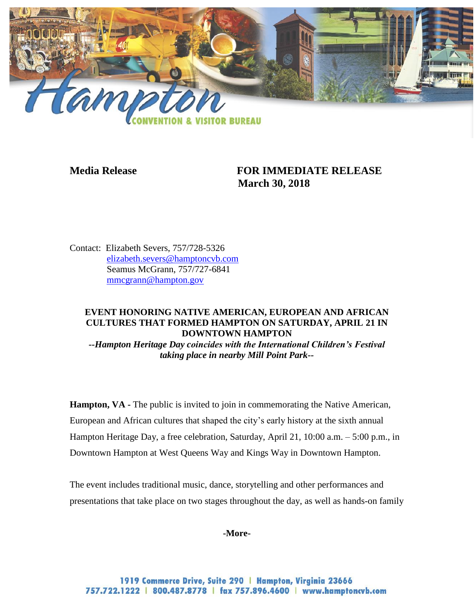

# **Media Release FOR IMMEDIATE RELEASE March 30, 2018**

Contact: Elizabeth Severs, 757/728-5326 [elizabeth.severs@hamptoncvb.com](mailto:elizabeth.severs@hamptoncvb.com) Seamus McGrann, 757/727-6841 [mmcgrann@hampton.gov](mailto:mmcgrann@hampton.gov)

## **EVENT HONORING NATIVE AMERICAN, EUROPEAN AND AFRICAN CULTURES THAT FORMED HAMPTON ON SATURDAY, APRIL 21 IN DOWNTOWN HAMPTON**

*--Hampton Heritage Day coincides with the International Children's Festival taking place in nearby Mill Point Park--*

**Hampton, VA** - The public is invited to join in commemorating the Native American, European and African cultures that shaped the city's early history at the sixth annual Hampton Heritage Day, a free celebration, Saturday, April 21, 10:00 a.m. – 5:00 p.m., in Downtown Hampton at West Queens Way and Kings Way in Downtown Hampton.

The event includes traditional music, dance, storytelling and other performances and presentations that take place on two stages throughout the day, as well as hands-on family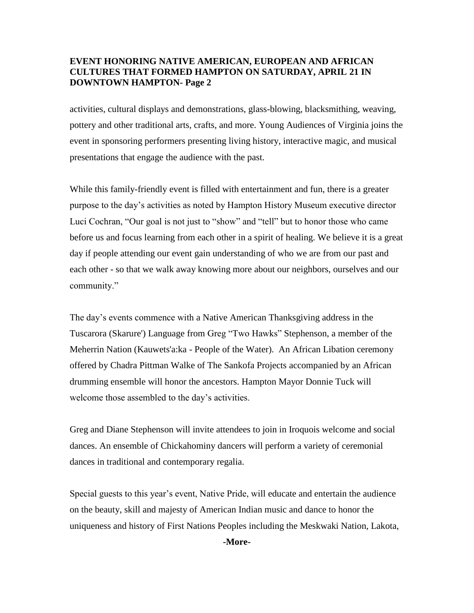activities, cultural displays and demonstrations, glass-blowing, blacksmithing, weaving, pottery and other traditional arts, crafts, and more. Young Audiences of Virginia joins the event in sponsoring performers presenting living history, interactive magic, and musical presentations that engage the audience with the past.

While this family-friendly event is filled with entertainment and fun, there is a greater purpose to the day's activities as noted by Hampton History Museum executive director Luci Cochran, "Our goal is not just to "show" and "tell" but to honor those who came before us and focus learning from each other in a spirit of healing. We believe it is a great day if people attending our event gain understanding of who we are from our past and each other - so that we walk away knowing more about our neighbors, ourselves and our community."

The day's events commence with a Native American Thanksgiving address in the Tuscarora (Skarure') Language from Greg "Two Hawks" Stephenson, a member of the Meherrin Nation (Kauwets'a:ka - People of the Water). An African Libation ceremony offered by Chadra Pittman Walke of The Sankofa Projects accompanied by an African drumming ensemble will honor the ancestors. Hampton Mayor Donnie Tuck will welcome those assembled to the day's activities.

Greg and Diane Stephenson will invite attendees to join in Iroquois welcome and social dances. An ensemble of Chickahominy dancers will perform a variety of ceremonial dances in traditional and contemporary regalia.

Special guests to this year's event, Native Pride, will educate and entertain the audience on the beauty, skill and majesty of American Indian music and dance to honor the uniqueness and history of First Nations Peoples including the Meskwaki Nation, Lakota,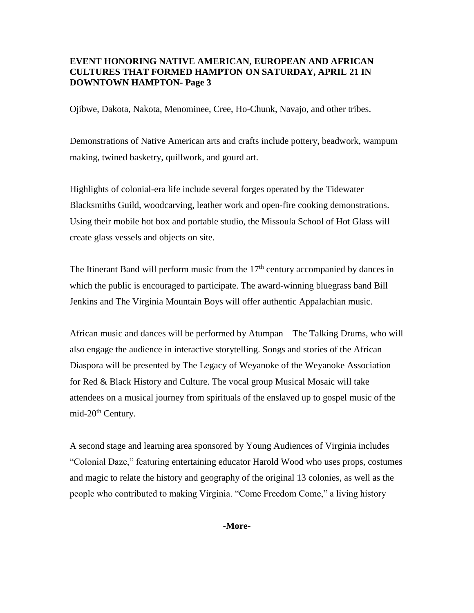Ojibwe, Dakota, Nakota, Menominee, Cree, Ho-Chunk, Navajo, and other tribes.

Demonstrations of Native American arts and crafts include pottery, beadwork, wampum making, twined basketry, quillwork, and gourd art.

Highlights of colonial-era life include several forges operated by the Tidewater Blacksmiths Guild, woodcarving, leather work and open-fire cooking demonstrations. Using their mobile hot box and portable studio, the Missoula School of Hot Glass will create glass vessels and objects on site.

The Itinerant Band will perform music from the  $17<sup>th</sup>$  century accompanied by dances in which the public is encouraged to participate. The award-winning bluegrass band Bill Jenkins and The Virginia Mountain Boys will offer authentic Appalachian music.

African music and dances will be performed by Atumpan – The Talking Drums, who will also engage the audience in interactive storytelling. Songs and stories of the African Diaspora will be presented by The Legacy of Weyanoke of the Weyanoke Association for Red & Black History and Culture. The vocal group Musical Mosaic will take attendees on a musical journey from spirituals of the enslaved up to gospel music of the mid-20<sup>th</sup> Century.

A second stage and learning area sponsored by Young Audiences of Virginia includes "Colonial Daze," featuring entertaining educator Harold Wood who uses props, costumes and magic to relate the history and geography of the original 13 colonies, as well as the people who contributed to making Virginia. "Come Freedom Come," a living history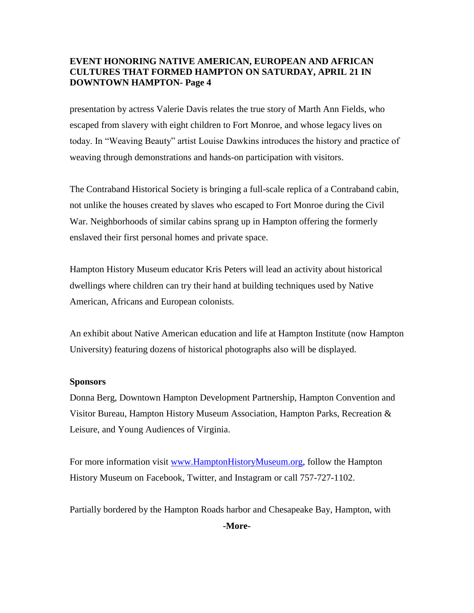presentation by actress Valerie Davis relates the true story of Marth Ann Fields, who escaped from slavery with eight children to Fort Monroe, and whose legacy lives on today. In "Weaving Beauty" artist Louise Dawkins introduces the history and practice of weaving through demonstrations and hands-on participation with visitors.

The Contraband Historical Society is bringing a full-scale replica of a Contraband cabin, not unlike the houses created by slaves who escaped to Fort Monroe during the Civil War. Neighborhoods of similar cabins sprang up in Hampton offering the formerly enslaved their first personal homes and private space.

Hampton History Museum educator Kris Peters will lead an activity about historical dwellings where children can try their hand at building techniques used by Native American, Africans and European colonists.

An exhibit about Native American education and life at Hampton Institute (now Hampton University) featuring dozens of historical photographs also will be displayed.

#### **Sponsors**

Donna Berg, Downtown Hampton Development Partnership, Hampton Convention and Visitor Bureau, Hampton History Museum Association, Hampton Parks, Recreation & Leisure, and Young Audiences of Virginia.

For more information visit [www.HamptonHistoryMuseum.org,](http://www.hamptonhistorymuseum.org/) follow the Hampton History Museum on Facebook, Twitter, and Instagram or call 757-727-1102.

Partially bordered by the Hampton Roads harbor and Chesapeake Bay, Hampton, with